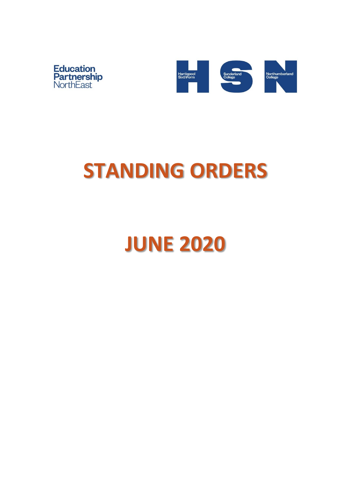



# **STANDING ORDERS**

**JUNE 2020**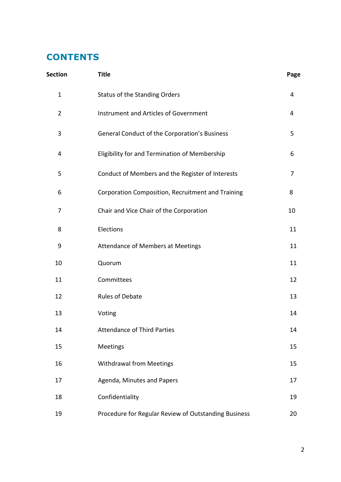# **CONTENTS**

| <b>Section</b> | <b>Title</b>                                         | Page |
|----------------|------------------------------------------------------|------|
| $\mathbf{1}$   | <b>Status of the Standing Orders</b>                 | 4    |
| $\overline{2}$ | Instrument and Articles of Government                | 4    |
| 3              | General Conduct of the Corporation's Business        | 5    |
| 4              | Eligibility for and Termination of Membership        | 6    |
| 5              | Conduct of Members and the Register of Interests     | 7    |
| 6              | Corporation Composition, Recruitment and Training    | 8    |
| 7              | Chair and Vice Chair of the Corporation              | 10   |
| 8              | Elections                                            | 11   |
| 9              | <b>Attendance of Members at Meetings</b>             | 11   |
| 10             | Quorum                                               | 11   |
| 11             | Committees                                           | 12   |
| 12             | <b>Rules of Debate</b>                               | 13   |
| 13             | Voting                                               | 14   |
| 14             | <b>Attendance of Third Parties</b>                   | 14   |
| 15             | Meetings                                             | 15   |
| 16             | Withdrawal from Meetings                             | 15   |
| 17             | Agenda, Minutes and Papers                           | 17   |
| 18             | Confidentiality                                      | 19   |
| 19             | Procedure for Regular Review of Outstanding Business | 20   |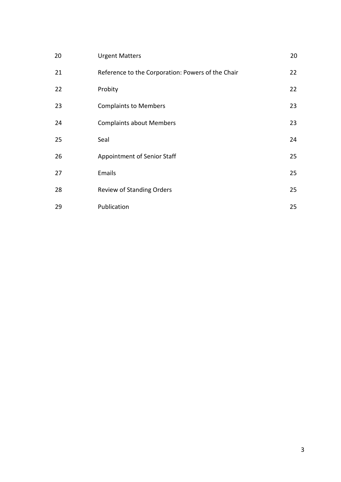| 20 | <b>Urgent Matters</b>                             | 20 |
|----|---------------------------------------------------|----|
| 21 | Reference to the Corporation: Powers of the Chair | 22 |
| 22 | Probity                                           | 22 |
| 23 | <b>Complaints to Members</b>                      | 23 |
| 24 | <b>Complaints about Members</b>                   | 23 |
| 25 | Seal                                              | 24 |
| 26 | Appointment of Senior Staff                       | 25 |
| 27 | Emails                                            | 25 |
| 28 | <b>Review of Standing Orders</b>                  | 25 |
| 29 | Publication                                       | 25 |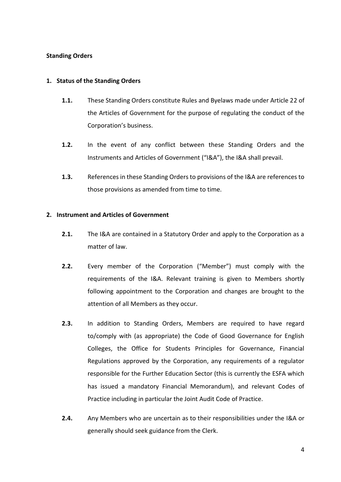# **Standing Orders**

# **1. Status of the Standing Orders**

- **1.1.** These Standing Orders constitute Rules and Byelaws made under Article 22 of the Articles of Government for the purpose of regulating the conduct of the Corporation's business.
- **1.2.** In the event of any conflict between these Standing Orders and the Instruments and Articles of Government ("I&A"), the I&A shall prevail.
- **1.3.** References in these Standing Orders to provisions of the I&A are references to those provisions as amended from time to time.

# **2. Instrument and Articles of Government**

- **2.1.** The I&A are contained in a Statutory Order and apply to the Corporation as a matter of law.
- **2.2.** Every member of the Corporation ("Member") must comply with the requirements of the I&A. Relevant training is given to Members shortly following appointment to the Corporation and changes are brought to the attention of all Members as they occur.
- **2.3.** In addition to Standing Orders, Members are required to have regard to/comply with (as appropriate) the Code of Good Governance for English Colleges, the Office for Students Principles for Governance, Financial Regulations approved by the Corporation, any requirements of a regulator responsible for the Further Education Sector (this is currently the ESFA which has issued a mandatory Financial Memorandum), and relevant Codes of Practice including in particular the Joint Audit Code of Practice.
- **2.4.** Any Members who are uncertain as to their responsibilities under the I&A or generally should seek guidance from the Clerk.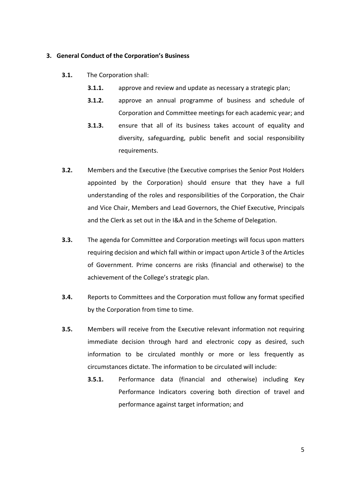## **3. General Conduct of the Corporation's Business**

- **3.1.** The Corporation shall:
	- **3.1.1.** approve and review and update as necessary a strategic plan;
	- **3.1.2.** approve an annual programme of business and schedule of Corporation and Committee meetings for each academic year; and
	- **3.1.3.** ensure that all of its business takes account of equality and diversity, safeguarding, public benefit and social responsibility requirements.
- **3.2.** Members and the Executive (the Executive comprises the Senior Post Holders appointed by the Corporation) should ensure that they have a full understanding of the roles and responsibilities of the Corporation, the Chair and Vice Chair, Members and Lead Governors, the Chief Executive, Principals and the Clerk as set out in the I&A and in the Scheme of Delegation.
- **3.3.** The agenda for Committee and Corporation meetings will focus upon matters requiring decision and which fall within or impact upon Article 3 of the Articles of Government. Prime concerns are risks (financial and otherwise) to the achievement of the College's strategic plan.
- **3.4.** Reports to Committees and the Corporation must follow any format specified by the Corporation from time to time.
- **3.5.** Members will receive from the Executive relevant information not requiring immediate decision through hard and electronic copy as desired, such information to be circulated monthly or more or less frequently as circumstances dictate. The information to be circulated will include:
	- **3.5.1.** Performance data (financial and otherwise) including Key Performance Indicators covering both direction of travel and performance against target information; and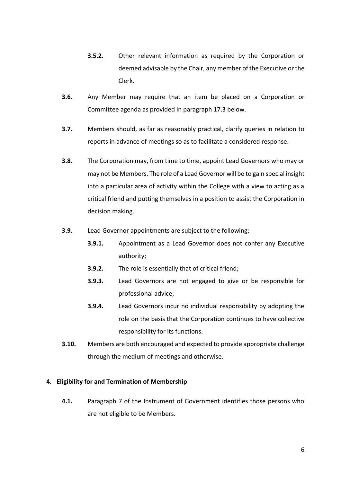- **3.5.2.** Other relevant information as required by the Corporation or deemed advisable by the Chair, any member of the Executive or the Clerk.
- **3.6.** Any Member may require that an item be placed on a Corporation or Committee agenda as provided in paragraph 17.3 below.
- **3.7.** Members should, as far as reasonably practical, clarify queries in relation to reports in advance of meetings so as to facilitate a considered response.
- **3.8.** The Corporation may, from time to time, appoint Lead Governors who may or may not be Members. The role of a Lead Governor will be to gain special insight into a particular area of activity within the College with a view to acting as a critical friend and putting themselves in a position to assist the Corporation in decision making.
- **3.9.** Lead Governor appointments are subject to the following:
	- **3.9.1.** Appointment as a Lead Governor does not confer any Executive authority;
	- **3.9.2.** The role is essentially that of critical friend;
	- **3.9.3.** Lead Governors are not engaged to give or be responsible for professional advice;
	- **3.9.4.** Lead Governors incur no individual responsibility by adopting the role on the basis that the Corporation continues to have collective responsibility for its functions.
- **3.10.** Members are both encouraged and expected to provide appropriate challenge through the medium of meetings and otherwise.

# **4. Eligibility for and Termination of Membership**

**4.1.** Paragraph 7 of the Instrument of Government identifies those persons who are not eligible to be Members.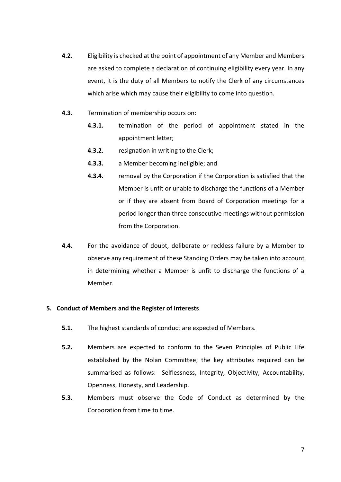- **4.2.** Eligibility is checked at the point of appointment of any Member and Members are asked to complete a declaration of continuing eligibility every year. In any event, it is the duty of all Members to notify the Clerk of any circumstances which arise which may cause their eligibility to come into question.
- **4.3.** Termination of membership occurs on:
	- **4.3.1.** termination of the period of appointment stated in the appointment letter;
	- **4.3.2.** resignation in writing to the Clerk;
	- **4.3.3.** a Member becoming ineligible; and
	- **4.3.4.** removal by the Corporation if the Corporation is satisfied that the Member is unfit or unable to discharge the functions of a Member or if they are absent from Board of Corporation meetings for a period longer than three consecutive meetings without permission from the Corporation.
- **4.4.** For the avoidance of doubt, deliberate or reckless failure by a Member to observe any requirement of these Standing Orders may be taken into account in determining whether a Member is unfit to discharge the functions of a Member.

# **5. Conduct of Members and the Register of Interests**

- **5.1.** The highest standards of conduct are expected of Members.
- **5.2.** Members are expected to conform to the Seven Principles of Public Life established by the Nolan Committee; the key attributes required can be summarised as follows: Selflessness, Integrity, Objectivity, Accountability, Openness, Honesty, and Leadership.
- **5.3.** Members must observe the Code of Conduct as determined by the Corporation from time to time.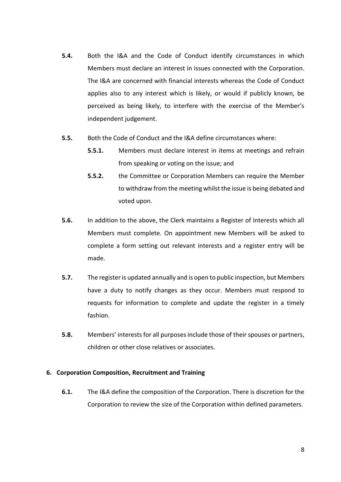- **5.4.** Both the I&A and the Code of Conduct identify circumstances in which Members must declare an interest in issues connected with the Corporation. The I&A are concerned with financial interests whereas the Code of Conduct applies also to any interest which is likely, or would if publicly known, be perceived as being likely, to interfere with the exercise of the Member's independent judgement.
- **5.5.** Both the Code of Conduct and the I&A define circumstances where:
	- **5.5.1.** Members must declare interest in items at meetings and refrain from speaking or voting on the issue; and
	- **5.5.2.** the Committee or Corporation Members can require the Member to withdraw from the meeting whilst the issue is being debated and voted upon.
- **5.6.** In addition to the above, the Clerk maintains a Register of Interests which all Members must complete. On appointment new Members will be asked to complete a form setting out relevant interests and a register entry will be made.
- **5.7.** The register is updated annually and is open to public inspection, but Members have a duty to notify changes as they occur. Members must respond to requests for information to complete and update the register in a timely fashion.
- **5.8.** Members' interests for all purposes include those of their spouses or partners, children or other close relatives or associates.

# **6. Corporation Composition, Recruitment and Training**

**6.1.** The I&A define the composition of the Corporation. There is discretion for the Corporation to review the size of the Corporation within defined parameters.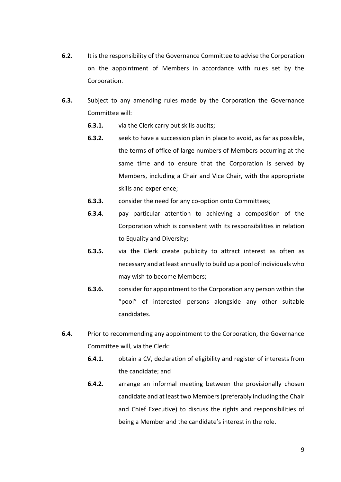- **6.2.** It is the responsibility of the Governance Committee to advise the Corporation on the appointment of Members in accordance with rules set by the Corporation.
- **6.3.** Subject to any amending rules made by the Corporation the Governance Committee will:
	- **6.3.1.** via the Clerk carry out skills audits;
	- **6.3.2.** seek to have a succession plan in place to avoid, as far as possible, the terms of office of large numbers of Members occurring at the same time and to ensure that the Corporation is served by Members, including a Chair and Vice Chair, with the appropriate skills and experience;
	- **6.3.3.** consider the need for any co-option onto Committees;
	- **6.3.4.** pay particular attention to achieving a composition of the Corporation which is consistent with its responsibilities in relation to Equality and Diversity;
	- **6.3.5.** via the Clerk create publicity to attract interest as often as necessary and at least annually to build up a pool of individuals who may wish to become Members;
	- **6.3.6.** consider for appointment to the Corporation any person within the "pool" of interested persons alongside any other suitable candidates.
- **6.4.** Prior to recommending any appointment to the Corporation, the Governance Committee will, via the Clerk:
	- **6.4.1.** obtain a CV, declaration of eligibility and register of interests from the candidate; and
	- **6.4.2.** arrange an informal meeting between the provisionally chosen candidate and at least two Members (preferably including the Chair and Chief Executive) to discuss the rights and responsibilities of being a Member and the candidate's interest in the role.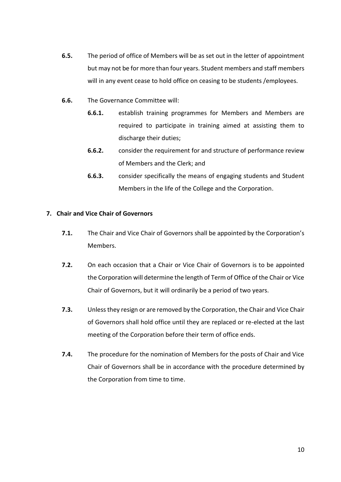- **6.5.** The period of office of Members will be as set out in the letter of appointment but may not be for more than four years. Student members and staff members will in any event cease to hold office on ceasing to be students /employees.
- **6.6.** The Governance Committee will:
	- **6.6.1.** establish training programmes for Members and Members are required to participate in training aimed at assisting them to discharge their duties;
	- **6.6.2.** consider the requirement for and structure of performance review of Members and the Clerk; and
	- **6.6.3.** consider specifically the means of engaging students and Student Members in the life of the College and the Corporation.

# **7. Chair and Vice Chair of Governors**

- **7.1.** The Chair and Vice Chair of Governors shall be appointed by the Corporation's Members.
- **7.2.** On each occasion that a Chair or Vice Chair of Governors is to be appointed the Corporation will determine the length of Term of Office of the Chair or Vice Chair of Governors, but it will ordinarily be a period of two years.
- **7.3.** Unless they resign or are removed by the Corporation, the Chair and Vice Chair of Governors shall hold office until they are replaced or re-elected at the last meeting of the Corporation before their term of office ends.
- **7.4.** The procedure for the nomination of Members for the posts of Chair and Vice Chair of Governors shall be in accordance with the procedure determined by the Corporation from time to time.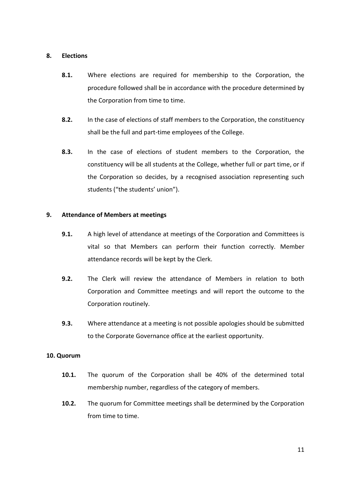# **8. Elections**

- **8.1.** Where elections are required for membership to the Corporation, the procedure followed shall be in accordance with the procedure determined by the Corporation from time to time.
- **8.2.** In the case of elections of staff members to the Corporation, the constituency shall be the full and part-time employees of the College.
- **8.3.** In the case of elections of student members to the Corporation, the constituency will be all students at the College, whether full or part time, or if the Corporation so decides, by a recognised association representing such students ("the students' union").

# **9. Attendance of Members at meetings**

- **9.1.** A high level of attendance at meetings of the Corporation and Committees is vital so that Members can perform their function correctly. Member attendance records will be kept by the Clerk.
- **9.2.** The Clerk will review the attendance of Members in relation to both Corporation and Committee meetings and will report the outcome to the Corporation routinely.
- **9.3.** Where attendance at a meeting is not possible apologies should be submitted to the Corporate Governance office at the earliest opportunity.

# **10. Quorum**

- **10.1.** The quorum of the Corporation shall be 40% of the determined total membership number, regardless of the category of members.
- **10.2.** The quorum for Committee meetings shall be determined by the Corporation from time to time.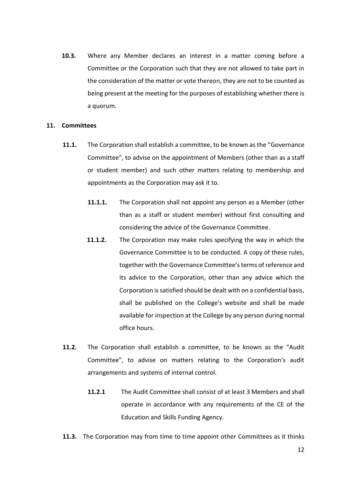**10.3.** Where any Member declares an interest in a matter coming before a Committee or the Corporation such that they are not allowed to take part in the consideration of the matter or vote thereon, they are not to be counted as being present at the meeting for the purposes of establishing whether there is a quorum.

#### **11. Committees**

- **11.1.** The Corporation shall establish a committee, to be known as the "Governance Committee", to advise on the appointment of Members (other than as a staff or student member) and such other matters relating to membership and appointments as the Corporation may ask it to.
	- **11.1.1.** The Corporation shall not appoint any person as a Member (other than as a staff or student member) without first consulting and considering the advice of the Governance Committee.
	- **11.1.2.** The Corporation may make rules specifying the way in which the Governance Committee is to be conducted. A copy of these rules, together with the Governance Committee's terms of reference and its advice to the Corporation, other than any advice which the Corporation is satisfied should be dealt with on a confidential basis, shall be published on the College's website and shall be made available for inspection at the College by any person during normal office hours.
- **11.2.** The Corporation shall establish a committee, to be known as the "Audit Committee", to advise on matters relating to the Corporation's audit arrangements and systems of internal control.
	- **11.2.1** The Audit Committee shall consist of at least 3 Members and shall operate in accordance with any requirements of the CE of the Education and Skills Funding Agency.
- **11.3.** The Corporation may from time to time appoint other Committees as it thinks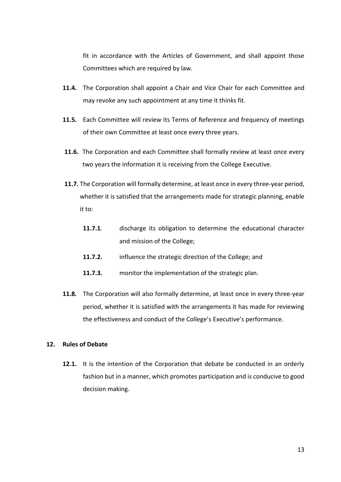fit in accordance with the Articles of Government, and shall appoint those Committees which are required by law.

- **11.4.** The Corporation shall appoint a Chair and Vice Chair for each Committee and may revoke any such appointment at any time it thinks fit.
- **11.5.** Each Committee will review its Terms of Reference and frequency of meetings of their own Committee at least once every three years.
- **11.6.** The Corporation and each Committee shall formally review at least once every two years the information it is receiving from the College Executive.
- **11.7.** The Corporation will formally determine, at least once in every three-year period, whether it is satisfied that the arrangements made for strategic planning, enable it to:
	- **11.7.1**. discharge its obligation to determine the educational character and mission of the College;
	- **11.7.2.** influence the strategic direction of the College; and
	- **11.7.3.** monitor the implementation of the strategic plan.
- **11.8.** The Corporation will also formally determine, at least once in every three-year period, whether it is satisfied with the arrangements it has made for reviewing the effectiveness and conduct of the College's Executive's performance.

# **12. Rules of Debate**

**12.1.** It is the intention of the Corporation that debate be conducted in an orderly fashion but in a manner, which promotes participation and is conducive to good decision making.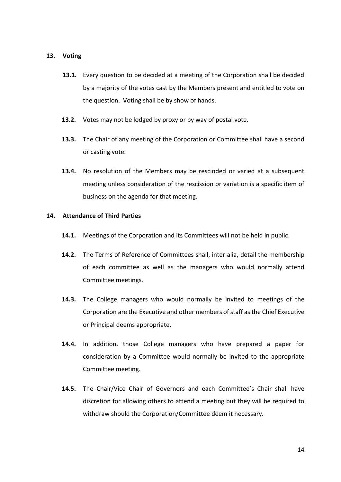## **13. Voting**

- **13.1.** Every question to be decided at a meeting of the Corporation shall be decided by a majority of the votes cast by the Members present and entitled to vote on the question. Voting shall be by show of hands.
- **13.2.** Votes may not be lodged by proxy or by way of postal vote.
- **13.3.** The Chair of any meeting of the Corporation or Committee shall have a second or casting vote.
- **13.4.** No resolution of the Members may be rescinded or varied at a subsequent meeting unless consideration of the rescission or variation is a specific item of business on the agenda for that meeting.

# **14. Attendance of Third Parties**

- **14.1.** Meetings of the Corporation and its Committees will not be held in public.
- **14.2.** The Terms of Reference of Committees shall, inter alia, detail the membership of each committee as well as the managers who would normally attend Committee meetings.
- **14.3.** The College managers who would normally be invited to meetings of the Corporation are the Executive and other members of staff as the Chief Executive or Principal deems appropriate.
- **14.4.** In addition, those College managers who have prepared a paper for consideration by a Committee would normally be invited to the appropriate Committee meeting.
- **14.5.** The Chair/Vice Chair of Governors and each Committee's Chair shall have discretion for allowing others to attend a meeting but they will be required to withdraw should the Corporation/Committee deem it necessary.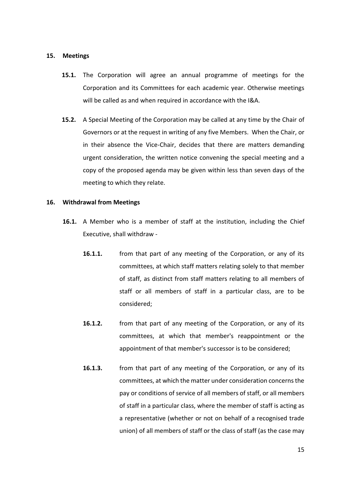#### **15. Meetings**

- **15.1.** The Corporation will agree an annual programme of meetings for the Corporation and its Committees for each academic year. Otherwise meetings will be called as and when required in accordance with the I&A.
- **15.2.** A Special Meeting of the Corporation may be called at any time by the Chair of Governors or at the request in writing of any five Members. When the Chair, or in their absence the Vice-Chair, decides that there are matters demanding urgent consideration, the written notice convening the special meeting and a copy of the proposed agenda may be given within less than seven days of the meeting to which they relate.

#### **16. Withdrawal from Meetings**

- **16.1.** A Member who is a member of staff at the institution, including the Chief Executive, shall withdraw -
	- **16.1.1.** from that part of any meeting of the Corporation, or any of its committees, at which staff matters relating solely to that member of staff, as distinct from staff matters relating to all members of staff or all members of staff in a particular class, are to be considered;
	- **16.1.2.** from that part of any meeting of the Corporation, or any of its committees, at which that member's reappointment or the appointment of that member's successor is to be considered;
	- **16.1.3.** from that part of any meeting of the Corporation, or any of its committees, at which the matter under consideration concerns the pay or conditions of service of all members of staff, or all members of staff in a particular class, where the member of staff is acting as a representative (whether or not on behalf of a recognised trade union) of all members of staff or the class of staff (as the case may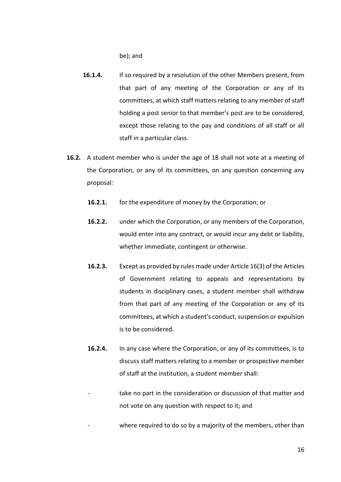be); and

- **16.1.4.** if so required by a resolution of the other Members present, from that part of any meeting of the Corporation or any of its committees, at which staff matters relating to any member of staff holding a post senior to that member's post are to be considered, except those relating to the pay and conditions of all staff or all staff in a particular class.
- **16.2.** A student member who is under the age of 18 shall not vote at a meeting of the Corporation, or any of its committees, on any question concerning any proposal:
	- **16.2.1.** for the expenditure of money by the Corporation; or
	- **16.2.2.** under which the Corporation, or any members of the Corporation, would enter into any contract, or would incur any debt or liability, whether immediate, contingent or otherwise.
	- **16.2.3.** Except as provided by rules made under Article 16(3) of the Articles of Government relating to appeals and representations by students in disciplinary cases, a student member shall withdraw from that part of any meeting of the Corporation or any of its committees, at which a student's conduct, suspension or expulsion is to be considered.
	- **16.2.4.** In any case where the Corporation, or any of its committees, is to discuss staff matters relating to a member or prospective member of staff at the institution, a student member shall:
		- take no part in the consideration or discussion of that matter and not vote on any question with respect to it; and
		- where required to do so by a majority of the members, other than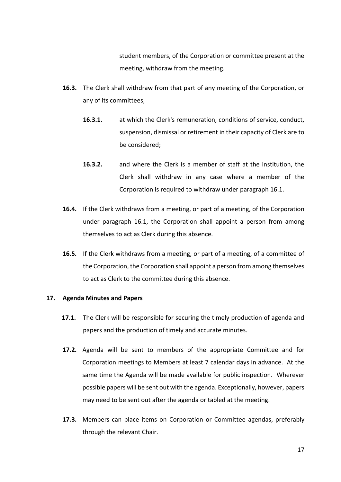student members, of the Corporation or committee present at the meeting, withdraw from the meeting.

- **16.3.** The Clerk shall withdraw from that part of any meeting of the Corporation, or any of its committees,
	- **16.3.1.** at which the Clerk's remuneration, conditions of service, conduct, suspension, dismissal or retirement in their capacity of Clerk are to be considered;
	- **16.3.2.** and where the Clerk is a member of staff at the institution, the Clerk shall withdraw in any case where a member of the Corporation is required to withdraw under paragraph 16.1.
- **16.4.** If the Clerk withdraws from a meeting, or part of a meeting, of the Corporation under paragraph 16.1, the Corporation shall appoint a person from among themselves to act as Clerk during this absence.
- **16.5.** If the Clerk withdraws from a meeting, or part of a meeting, of a committee of the Corporation, the Corporation shall appoint a person from among themselves to act as Clerk to the committee during this absence.

# **17. Agenda Minutes and Papers**

- **17.1.** The Clerk will be responsible for securing the timely production of agenda and papers and the production of timely and accurate minutes.
- **17.2.** Agenda will be sent to members of the appropriate Committee and for Corporation meetings to Members at least 7 calendar days in advance. At the same time the Agenda will be made available for public inspection. Wherever possible papers will be sent out with the agenda. Exceptionally, however, papers may need to be sent out after the agenda or tabled at the meeting.
- **17.3.** Members can place items on Corporation or Committee agendas, preferably through the relevant Chair.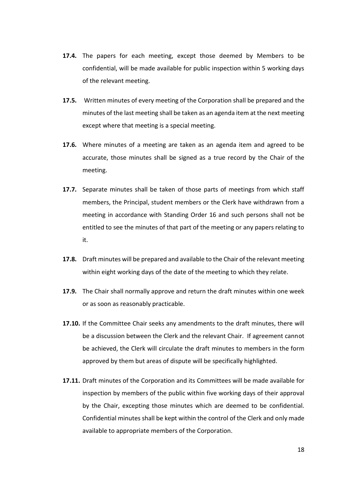- **17.4.** The papers for each meeting, except those deemed by Members to be confidential, will be made available for public inspection within 5 working days of the relevant meeting.
- **17.5.** Written minutes of every meeting of the Corporation shall be prepared and the minutes of the last meeting shall be taken as an agenda item at the next meeting except where that meeting is a special meeting.
- **17.6.** Where minutes of a meeting are taken as an agenda item and agreed to be accurate, those minutes shall be signed as a true record by the Chair of the meeting.
- **17.7.** Separate minutes shall be taken of those parts of meetings from which staff members, the Principal, student members or the Clerk have withdrawn from a meeting in accordance with Standing Order 16 and such persons shall not be entitled to see the minutes of that part of the meeting or any papers relating to it.
- **17.8.** Draft minutes will be prepared and available to the Chair of the relevant meeting within eight working days of the date of the meeting to which they relate.
- **17.9.** The Chair shall normally approve and return the draft minutes within one week or as soon as reasonably practicable.
- **17.10.** If the Committee Chair seeks any amendments to the draft minutes, there will be a discussion between the Clerk and the relevant Chair. If agreement cannot be achieved, the Clerk will circulate the draft minutes to members in the form approved by them but areas of dispute will be specifically highlighted.
- **17.11.** Draft minutes of the Corporation and its Committees will be made available for inspection by members of the public within five working days of their approval by the Chair, excepting those minutes which are deemed to be confidential. Confidential minutes shall be kept within the control of the Clerk and only made available to appropriate members of the Corporation.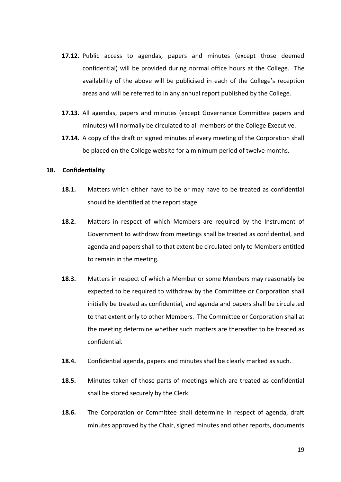- **17.12.** Public access to agendas, papers and minutes (except those deemed confidential) will be provided during normal office hours at the College. The availability of the above will be publicised in each of the College's reception areas and will be referred to in any annual report published by the College.
- **17.13.** All agendas, papers and minutes (except Governance Committee papers and minutes) will normally be circulated to all members of the College Executive.
- **17.14.** A copy of the draft or signed minutes of every meeting of the Corporation shall be placed on the College website for a minimum period of twelve months.

#### **18. Confidentiality**

- **18.1.** Matters which either have to be or may have to be treated as confidential should be identified at the report stage.
- **18.2.** Matters in respect of which Members are required by the Instrument of Government to withdraw from meetings shall be treated as confidential, and agenda and papers shall to that extent be circulated only to Members entitled to remain in the meeting.
- **18.3.** Matters in respect of which a Member or some Members may reasonably be expected to be required to withdraw by the Committee or Corporation shall initially be treated as confidential, and agenda and papers shall be circulated to that extent only to other Members. The Committee or Corporation shall at the meeting determine whether such matters are thereafter to be treated as confidential.
- **18.4.** Confidential agenda, papers and minutes shall be clearly marked as such.
- **18.5.** Minutes taken of those parts of meetings which are treated as confidential shall be stored securely by the Clerk.
- **18.6.** The Corporation or Committee shall determine in respect of agenda, draft minutes approved by the Chair, signed minutes and other reports, documents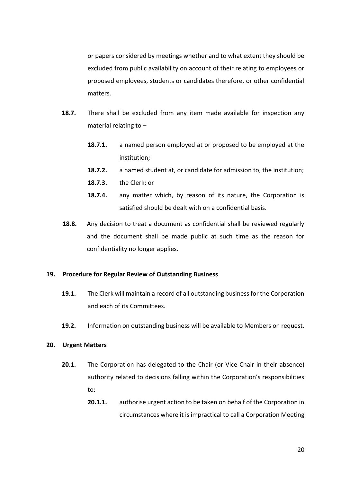or papers considered by meetings whether and to what extent they should be excluded from public availability on account of their relating to employees or proposed employees, students or candidates therefore, or other confidential matters.

- **18.7.** There shall be excluded from any item made available for inspection any material relating to –
	- **18.7.1.** a named person employed at or proposed to be employed at the institution;
	- **18.7.2.** a named student at, or candidate for admission to, the institution;
	- **18.7.3.** the Clerk; or
	- **18.7.4.** any matter which, by reason of its nature, the Corporation is satisfied should be dealt with on a confidential basis.
- **18.8.** Any decision to treat a document as confidential shall be reviewed regularly and the document shall be made public at such time as the reason for confidentiality no longer applies.

#### **19. Procedure for Regular Review of Outstanding Business**

- **19.1.** The Clerk will maintain a record of all outstanding business for the Corporation and each of its Committees.
- **19.2.** Information on outstanding business will be available to Members on request.

#### **20. Urgent Matters**

- **20.1.** The Corporation has delegated to the Chair (or Vice Chair in their absence) authority related to decisions falling within the Corporation's responsibilities to:
	- **20.1.1.** authorise urgent action to be taken on behalf of the Corporation in circumstances where it is impractical to call a Corporation Meeting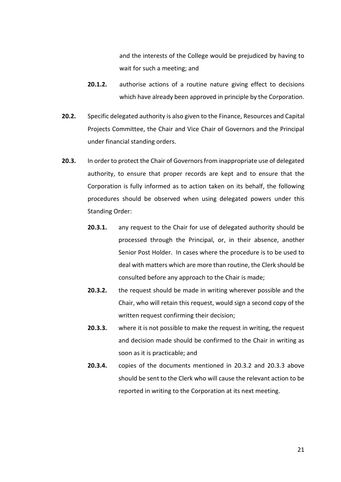and the interests of the College would be prejudiced by having to wait for such a meeting; and

- **20.1.2.** authorise actions of a routine nature giving effect to decisions which have already been approved in principle by the Corporation.
- **20.2.** Specific delegated authority is also given to the Finance, Resources and Capital Projects Committee, the Chair and Vice Chair of Governors and the Principal under financial standing orders.
- **20.3.** In order to protect the Chair of Governors from inappropriate use of delegated authority, to ensure that proper records are kept and to ensure that the Corporation is fully informed as to action taken on its behalf, the following procedures should be observed when using delegated powers under this Standing Order:
	- **20.3.1.** any request to the Chair for use of delegated authority should be processed through the Principal, or, in their absence, another Senior Post Holder. In cases where the procedure is to be used to deal with matters which are more than routine, the Clerk should be consulted before any approach to the Chair is made;
	- **20.3.2.** the request should be made in writing wherever possible and the Chair, who will retain this request, would sign a second copy of the written request confirming their decision;
	- **20.3.3.** where it is not possible to make the request in writing, the request and decision made should be confirmed to the Chair in writing as soon as it is practicable; and
	- **20.3.4.** copies of the documents mentioned in 20.3.2 and 20.3.3 above should be sent to the Clerk who will cause the relevant action to be reported in writing to the Corporation at its next meeting.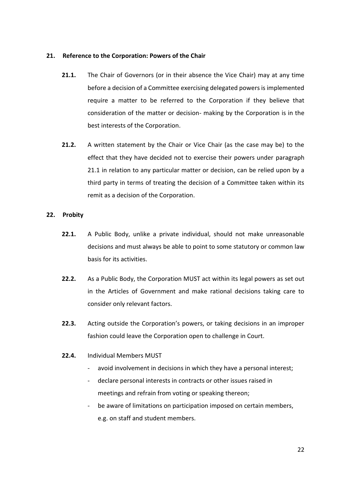# **21. Reference to the Corporation: Powers of the Chair**

- **21.1.** The Chair of Governors (or in their absence the Vice Chair) may at any time before a decision of a Committee exercising delegated powers is implemented require a matter to be referred to the Corporation if they believe that consideration of the matter or decision- making by the Corporation is in the best interests of the Corporation.
- **21.2.** A written statement by the Chair or Vice Chair (as the case may be) to the effect that they have decided not to exercise their powers under paragraph 21.1 in relation to any particular matter or decision, can be relied upon by a third party in terms of treating the decision of a Committee taken within its remit as a decision of the Corporation.

# **22. Probity**

- **22.1.** A Public Body, unlike a private individual, should not make unreasonable decisions and must always be able to point to some statutory or common law basis for its activities.
- **22.2.** As a Public Body, the Corporation MUST act within its legal powers as set out in the Articles of Government and make rational decisions taking care to consider only relevant factors.
- **22.3.** Acting outside the Corporation's powers, or taking decisions in an improper fashion could leave the Corporation open to challenge in Court.
- **22.4.** Individual Members MUST
	- avoid involvement in decisions in which they have a personal interest;
	- declare personal interests in contracts or other issues raised in meetings and refrain from voting or speaking thereon;
	- be aware of limitations on participation imposed on certain members, e.g. on staff and student members.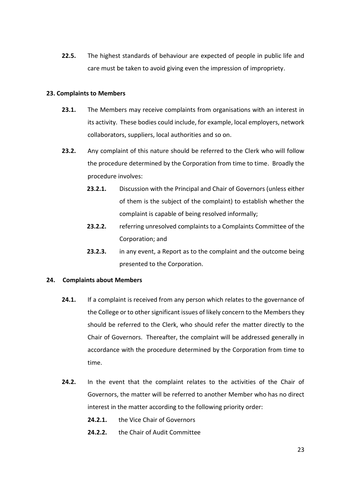**22.5.** The highest standards of behaviour are expected of people in public life and care must be taken to avoid giving even the impression of impropriety.

# **23. Complaints to Members**

- **23.1.** The Members may receive complaints from organisations with an interest in its activity. These bodies could include, for example, local employers, network collaborators, suppliers, local authorities and so on.
- **23.2.** Any complaint of this nature should be referred to the Clerk who will follow the procedure determined by the Corporation from time to time. Broadly the procedure involves:
	- **23.2.1.** Discussion with the Principal and Chair of Governors (unless either of them is the subject of the complaint) to establish whether the complaint is capable of being resolved informally;
	- **23.2.2.** referring unresolved complaints to a Complaints Committee of the Corporation; and
	- **23.2.3.** in any event, a Report as to the complaint and the outcome being presented to the Corporation.

# **24. Complaints about Members**

- **24.1.** If a complaint is received from any person which relates to the governance of the College or to other significant issues of likely concern to the Members they should be referred to the Clerk, who should refer the matter directly to the Chair of Governors. Thereafter, the complaint will be addressed generally in accordance with the procedure determined by the Corporation from time to time.
- **24.2.** In the event that the complaint relates to the activities of the Chair of Governors, the matter will be referred to another Member who has no direct interest in the matter according to the following priority order:
	- **24.2.1.** the Vice Chair of Governors
	- **24.2.2.** the Chair of Audit Committee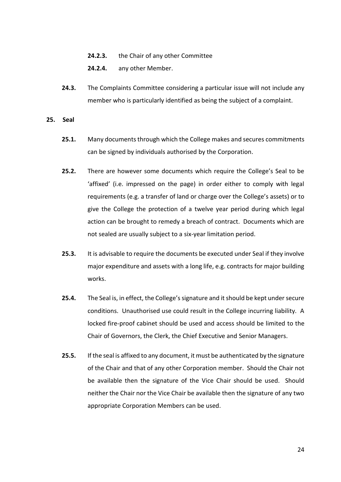- **24.2.3.** the Chair of any other Committee
- **24.2.4.** any other Member.
- **24.3.** The Complaints Committee considering a particular issue will not include any member who is particularly identified as being the subject of a complaint.
- **25. Seal**
	- **25.1.** Many documents through which the College makes and secures commitments can be signed by individuals authorised by the Corporation.
	- **25.2.** There are however some documents which require the College's Seal to be 'affixed' (i.e. impressed on the page) in order either to comply with legal requirements (e.g. a transfer of land or charge over the College's assets) or to give the College the protection of a twelve year period during which legal action can be brought to remedy a breach of contract. Documents which are not sealed are usually subject to a six-year limitation period.
	- **25.3.** It is advisable to require the documents be executed under Seal if they involve major expenditure and assets with a long life, e.g. contracts for major building works.
	- **25.4.** The Seal is, in effect, the College's signature and it should be kept under secure conditions. Unauthorised use could result in the College incurring liability. A locked fire-proof cabinet should be used and access should be limited to the Chair of Governors, the Clerk, the Chief Executive and Senior Managers.
	- **25.5.** If the seal is affixed to any document, it must be authenticated by the signature of the Chair and that of any other Corporation member. Should the Chair not be available then the signature of the Vice Chair should be used. Should neither the Chair nor the Vice Chair be available then the signature of any two appropriate Corporation Members can be used.